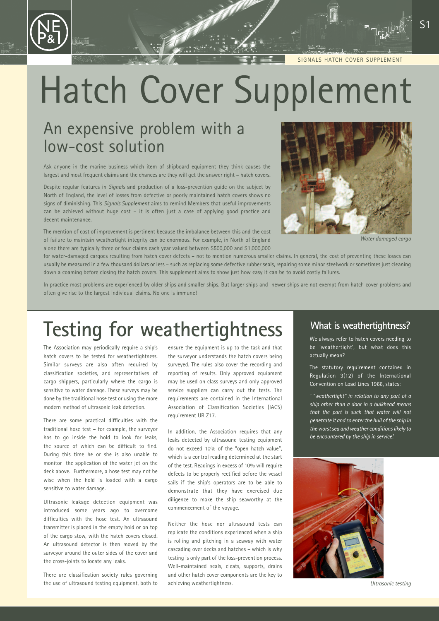SIGNALS HATCH COVER SUPPLEMENT

# Hatch Cover Supplement

### An expensive problem with a low-cost solution

Ask anyone in the marine business which item of shipboard equipment they think causes the largest and most frequent claims and the chances are they will get the answer right – hatch covers.

Despite regular features in *Signals* and production of a loss-prevention guide on the subject by North of England, the level of losses from defective or poorly maintained hatch covers shows no signs of diminishing. This *Signals Supplement* aims to remind Members that useful improvements can be achieved without huge cost – it is often just a case of applying good practice and decent maintenance.

The mention of cost of improvement is pertinent because the imbalance between this and the cost of failure to maintain weathertight integrity can be enormous. For example, in North of England alone there are typically three or four claims each year valued between \$500,000 and \$1,000,000



*Water damaged cargo*

for water-damaged cargoes resulting from hatch cover defects – not to mention numerous smaller claims. In general, the cost of preventing these losses can usually be measured in a few thousand dollars or less – such as replacing some defective rubber seals, repairing some minor steelwork or sometimes just cleaning down a coaming before closing the hatch covers. This supplement aims to show just how easy it can be to avoid costly failures.

In practice most problems are experienced by older ships and smaller ships. But larger ships and newer ships are not exempt from hatch cover problems and often give rise to the largest individual claims. No one is immune!

## **Testing for weathertightness**

The Association may periodically require a ship's hatch covers to be tested for weathertightness. Similar surveys are also often required by classification societies, and representatives of cargo shippers, particularly where the cargo is sensitive to water damage. These surveys may be done by the traditional hose test or using the more modern method of ultrasonic leak detection.

There are some practical difficulties with the traditional hose test – for example, the surveyor has to go inside the hold to look for leaks, the source of which can be difficult to find. During this time he or she is also unable to monitor the application of the water jet on the deck above. Furthermore, a hose test may not be wise when the hold is loaded with a cargo sensitive to water damage.

Ultrasonic leakage detection equipment was introduced some years ago to overcome difficulties with the hose test. An ultrasound transmitter is placed in the empty hold or on top of the cargo stow, with the hatch covers closed. An ultrasound detector is then moved by the surveyor around the outer sides of the cover and the cross-joints to locate any leaks.

There are classification society rules governing the use of ultrasound testing equipment, both to ensure the equipment is up to the task and that the surveyor understands the hatch covers being surveyed. The rules also cover the recording and reporting of results. Only approved equipment may be used on class surveys and only approved service suppliers can carry out the tests. The requirements are contained in the International Association of Classification Societies (IACS) requirement UR Z17.

In addition, the Association requires that any leaks detected by ultrasound testing equipment do not exceed 10% of the "open hatch value", which is a control reading determined at the start of the test. Readings in excess of 10% will require defects to be properly rectified before the vessel sails if the ship's operators are to be able to demonstrate that they have exercised due diligence to make the ship seaworthy at the commencement of the voyage.

Neither the hose nor ultrasound tests can replicate the conditions experienced when a ship is rolling and pitching in a seaway with water cascading over decks and hatches – which is why testing is only part of the loss-prevention process. Well-maintained seals, cleats, supports, drains and other hatch cover components are the key to achieving weathertightness.

#### **What is weathertightness?**

We always refer to hatch covers needing to be 'weathertight', but what does this actually mean?

The statutory requirement contained in Regulation 3(12) of the International Convention on Load Lines 1966, states:

*' "weathertight" in relation to any part of a ship other than a door in a bulkhead means that the part is such that water will not penetrate it and so enter the hull of the ship in the worst sea and weather conditions likely to be encountered by the ship in service'.*

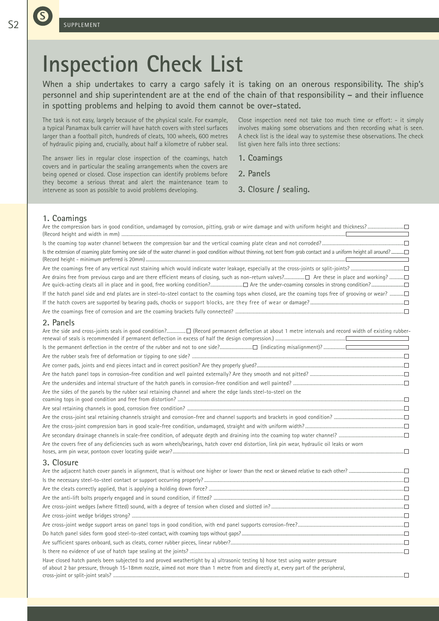# **Inspection Check List**

**When a ship undertakes to carry a cargo safely it is taking on an onerous responsibility. The ship's personnel and ship superintendent are at the end of the chain of that responsibility – and their influence in spotting problems and helping to avoid them cannot be over-stated.**

The task is not easy, largely because of the physical scale. For example, a typical Panamax bulk carrier will have hatch covers with steel surfaces larger than a football pitch, hundreds of cleats, 100 wheels, 600 metres of hydraulic piping and, crucially, about half a kilometre of rubber seal.

The answer lies in regular close inspection of the coamings, hatch covers and in particular the sealing arrangements when the covers are being opened or closed. Close inspection can identify problems before they become a serious threat and alert the maintenance team to intervene as soon as possible to avoid problems developing.

Close inspection need not take too much time or effort: - it simply involves making some observations and then recording what is seen. A check list is the ideal way to systemise these observations. The check list given here falls into three sections:

- **1. Coamings**
- **2. Panels**
- **3. Closure / sealing.**

#### **1. Coamings**

| 2. Panels                                                                                                                                                                                                                                                         |  |
|-------------------------------------------------------------------------------------------------------------------------------------------------------------------------------------------------------------------------------------------------------------------|--|
|                                                                                                                                                                                                                                                                   |  |
|                                                                                                                                                                                                                                                                   |  |
|                                                                                                                                                                                                                                                                   |  |
|                                                                                                                                                                                                                                                                   |  |
|                                                                                                                                                                                                                                                                   |  |
| Are the sides of the panels by the rubber seal retaining channel and where the edge lands steel-to-steel on the                                                                                                                                                   |  |
|                                                                                                                                                                                                                                                                   |  |
|                                                                                                                                                                                                                                                                   |  |
|                                                                                                                                                                                                                                                                   |  |
|                                                                                                                                                                                                                                                                   |  |
| Are the covers free of any deficiencies such as worn wheels/bearings, hatch cover end distortion, link pin wear, hydraulic oil leaks or worn                                                                                                                      |  |
| 3. Closure                                                                                                                                                                                                                                                        |  |
|                                                                                                                                                                                                                                                                   |  |
|                                                                                                                                                                                                                                                                   |  |
|                                                                                                                                                                                                                                                                   |  |
|                                                                                                                                                                                                                                                                   |  |
|                                                                                                                                                                                                                                                                   |  |
|                                                                                                                                                                                                                                                                   |  |
|                                                                                                                                                                                                                                                                   |  |
|                                                                                                                                                                                                                                                                   |  |
|                                                                                                                                                                                                                                                                   |  |
|                                                                                                                                                                                                                                                                   |  |
| Have closed hatch panels been subjected to and proved weathertight by a) ultrasonic testing b) hose test using water pressure<br>of about 2 bar pressure, through 15-18mm nozzle, aimed not more than 1 metre from and directly at, every part of the peripheral, |  |
|                                                                                                                                                                                                                                                                   |  |

**S**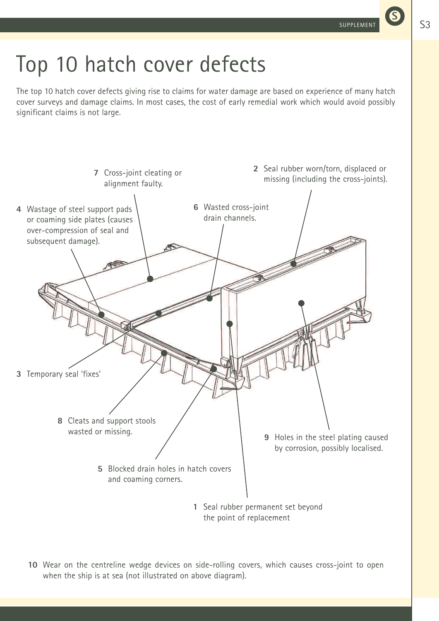# Top 10 hatch cover defects

The top 10 hatch cover defects giving rise to claims for water damage are based on experience of many hatch cover surveys and damage claims. In most cases, the cost of early remedial work which would avoid possibly significant claims is not large.



**10** Wear on the centreline wedge devices on side-rolling covers, which causes cross-joint to open when the ship is at sea (not illustrated on above diagram).

**S**